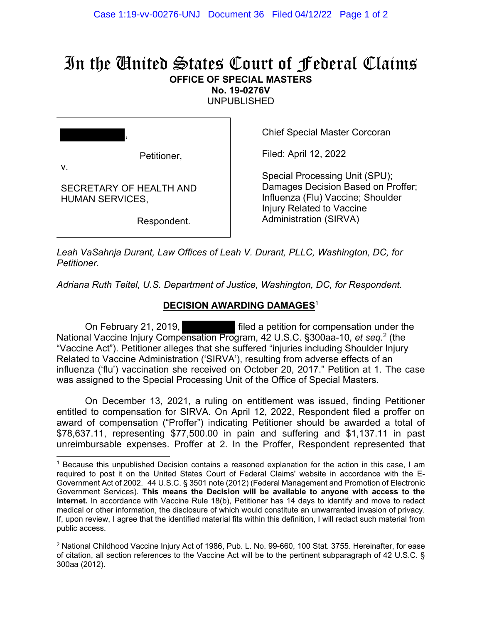## In the United States Court of Federal Claims **OFFICE OF SPECIAL MASTERS**

**No. 19-0276V** 

UNPUBLISHED

| ,            |             |
|--------------|-------------|
|              | Petitioner, |
| $\mathbf{v}$ |             |

SECRETARY OF HEALTH AND

HUMAN SERVICES,

Chief Special Master Corcoran

Filed: April 12, 2022

Special Processing Unit (SPU); Damages Decision Based on Proffer; Influenza (Flu) Vaccine; Shoulder Injury Related to Vaccine Administration (SIRVA)

Respondent.

*Leah VaSahnja Durant, Law Offices of Leah V. Durant, PLLC, Washington, DC, for Petitioner.* 

*Adriana Ruth Teitel, U.S. Department of Justice, Washington, DC, for Respondent.* 

## **DECISION AWARDING DAMAGES**<sup>1</sup>

 On February 21, 2019, filed a petition for compensation under the National Vaccine Injury Compensation Program, 42 U.S.C. §300aa-10, *et seq.*2 (the "Vaccine Act"). Petitioner alleges that she suffered "injuries including Shoulder Injury Related to Vaccine Administration ('SIRVA'), resulting from adverse effects of an influenza ('flu') vaccination she received on October 20, 2017." Petition at 1. The case was assigned to the Special Processing Unit of the Office of Special Masters.

On December 13, 2021, a ruling on entitlement was issued, finding Petitioner entitled to compensation for SIRVA. On April 12, 2022, Respondent filed a proffer on award of compensation ("Proffer") indicating Petitioner should be awarded a total of \$78,637.11, representing \$77,500.00 in pain and suffering and \$1,137.11 in past unreimbursable expenses. Proffer at 2. In the Proffer, Respondent represented that

<sup>1</sup> Because this unpublished Decision contains a reasoned explanation for the action in this case, I am required to post it on the United States Court of Federal Claims' website in accordance with the E-Government Act of 2002. 44 U.S.C. § 3501 note (2012) (Federal Management and Promotion of Electronic Government Services). **This means the Decision will be available to anyone with access to the internet.** In accordance with Vaccine Rule 18(b), Petitioner has 14 days to identify and move to redact medical or other information, the disclosure of which would constitute an unwarranted invasion of privacy. If, upon review, I agree that the identified material fits within this definition, I will redact such material from public access.

<sup>&</sup>lt;sup>2</sup> National Childhood Vaccine Injury Act of 1986, Pub. L. No. 99-660, 100 Stat. 3755. Hereinafter, for ease of citation, all section references to the Vaccine Act will be to the pertinent subparagraph of 42 U.S.C. § 300aa (2012).